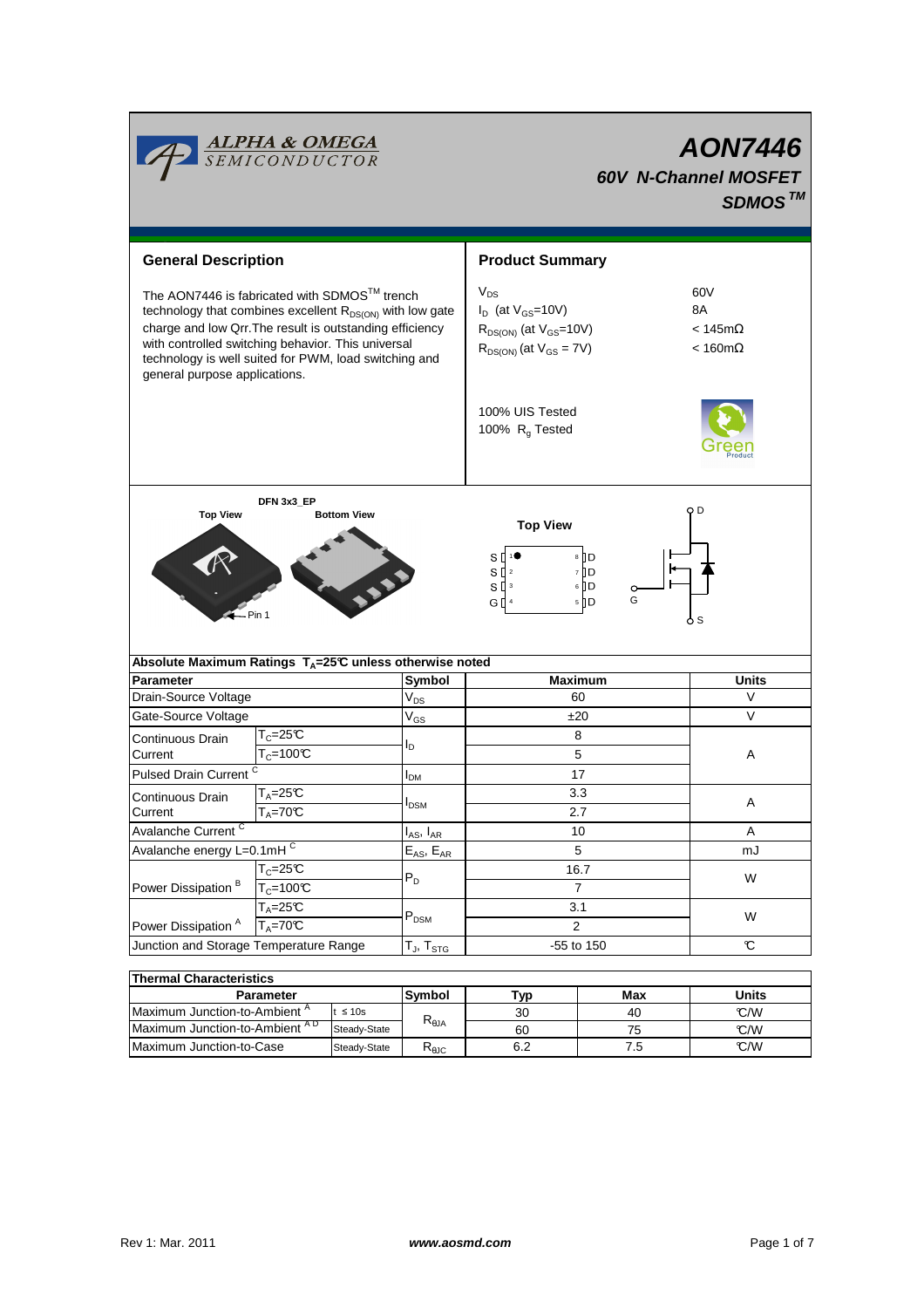|                                                                                                                                                                                        | <b>ALPHA &amp; OMEGA</b><br>SEMICONDUCTOR                                                                                                                                                                                                                                                       |                            | <b>AON7446</b><br><b>60V N-Channel MOSFET</b><br>SDMOS <sup>TM</sup>                                        |                                                       |                      |  |
|----------------------------------------------------------------------------------------------------------------------------------------------------------------------------------------|-------------------------------------------------------------------------------------------------------------------------------------------------------------------------------------------------------------------------------------------------------------------------------------------------|----------------------------|-------------------------------------------------------------------------------------------------------------|-------------------------------------------------------|----------------------|--|
| <b>General Description</b>                                                                                                                                                             |                                                                                                                                                                                                                                                                                                 | <b>Product Summary</b>     |                                                                                                             |                                                       |                      |  |
| general purpose applications.                                                                                                                                                          | The AON7446 is fabricated with SDMOS™ trench<br>technology that combines excellent R <sub>DS(ON)</sub> with low gate<br>charge and low Qrr. The result is outstanding efficiency<br>with controlled switching behavior. This universal<br>technology is well suited for PWM, load switching and |                            | $V_{DS}$<br>$I_D$ (at $V_{GS}$ =10V)<br>$R_{DS(ON)}$ (at $V_{GS}$ =10V)<br>$R_{DS(ON)}$ (at $V_{GS} = 7V$ ) | 60V<br>8A<br>$< 145m\Omega$<br>$< 160 \text{m}\Omega$ |                      |  |
|                                                                                                                                                                                        |                                                                                                                                                                                                                                                                                                 |                            | 100% UIS Tested<br>100% $R_g$ Tested                                                                        |                                                       |                      |  |
| DFN 3x3_EP<br>Q D<br><b>Top View</b><br><b>Bottom View</b><br><b>Top View</b><br>8 D<br>S<br>7 D<br>$S^{2}$<br>$6$ D<br>$_{\rm 3}$<br>sΠ<br>G<br>5 D<br>$G \parallel$ 4<br>Pin 1<br>ბs |                                                                                                                                                                                                                                                                                                 |                            |                                                                                                             |                                                       |                      |  |
| <b>Parameter</b>                                                                                                                                                                       | Absolute Maximum Ratings T <sub>A</sub> =25℃ unless otherwise noted                                                                                                                                                                                                                             | Symbol                     | <b>Maximum</b>                                                                                              |                                                       | Units                |  |
| Drain-Source Voltage                                                                                                                                                                   |                                                                                                                                                                                                                                                                                                 |                            | 60                                                                                                          |                                                       | v                    |  |
| Gate-Source Voltage                                                                                                                                                                    |                                                                                                                                                                                                                                                                                                 | $\mathsf{V}_{\mathsf{DS}}$ | ±20                                                                                                         |                                                       | V                    |  |
|                                                                                                                                                                                        | $\mathsf{T}_{\mathbb C}$ =25°C                                                                                                                                                                                                                                                                  | $\mathrm{V}_{\mathrm{GS}}$ | 8                                                                                                           |                                                       |                      |  |
| Continuous Drain                                                                                                                                                                       | $T_c = 100C$                                                                                                                                                                                                                                                                                    | ΙD                         | 5                                                                                                           |                                                       | A                    |  |
| Current                                                                                                                                                                                |                                                                                                                                                                                                                                                                                                 |                            |                                                                                                             |                                                       |                      |  |
| <b>Pulsed Drain Current</b>                                                                                                                                                            |                                                                                                                                                                                                                                                                                                 | $I_{DM}$                   | 17                                                                                                          |                                                       |                      |  |
| Continuous Drain                                                                                                                                                                       | T <sub>A</sub> =25℃                                                                                                                                                                                                                                                                             | <b>I</b> <sub>DSM</sub>    | 3.3                                                                                                         |                                                       | Α                    |  |
| Current                                                                                                                                                                                | $T_A = 70C$                                                                                                                                                                                                                                                                                     |                            | 2.7                                                                                                         |                                                       |                      |  |
| Avalanche Current <sup>C</sup>                                                                                                                                                         |                                                                                                                                                                                                                                                                                                 | $I_{AS}$ , $I_{AR}$        | 10                                                                                                          |                                                       | Α                    |  |
| Avalanche energy L=0.1mHC                                                                                                                                                              |                                                                                                                                                                                                                                                                                                 | $E_{AS}$ , $E_{AR}$        | 5                                                                                                           |                                                       | mJ                   |  |
| Power Dissipation <sup>B</sup>                                                                                                                                                         | $T_c = 25C$                                                                                                                                                                                                                                                                                     | $P_D$                      | 16.7                                                                                                        |                                                       | W                    |  |
|                                                                                                                                                                                        | $T_c = 100C$                                                                                                                                                                                                                                                                                    |                            | $\overline{7}$                                                                                              |                                                       |                      |  |
|                                                                                                                                                                                        | $T_A = 25C$                                                                                                                                                                                                                                                                                     |                            | 3.1<br>2                                                                                                    |                                                       |                      |  |
| Power Dissipation <sup>A</sup>                                                                                                                                                         | $T_A = 70^\circ C$                                                                                                                                                                                                                                                                              | $P_{DSM}$                  |                                                                                                             |                                                       | W                    |  |
| Junction and Storage Temperature Range                                                                                                                                                 |                                                                                                                                                                                                                                                                                                 | $T_J$ , $T_{STG}$          | -55 to 150                                                                                                  |                                                       | $\mathbb{C}$         |  |
|                                                                                                                                                                                        |                                                                                                                                                                                                                                                                                                 |                            |                                                                                                             |                                                       |                      |  |
| <b>Thermal Characteristics</b>                                                                                                                                                         |                                                                                                                                                                                                                                                                                                 |                            |                                                                                                             |                                                       |                      |  |
|                                                                                                                                                                                        | Parameter<br>$tan \Lambda$ mbiant $A$                                                                                                                                                                                                                                                           | Symbol                     | Typ                                                                                                         | Max                                                   | <b>Units</b><br>0.00 |  |

| THEITIM UNAIQUEITSUUS                      |               |                                       |     |       |      |  |  |
|--------------------------------------------|---------------|---------------------------------------|-----|-------|------|--|--|
| Parameter                                  | <b>Svmbol</b> | Typ                                   | Max | Units |      |  |  |
| Maximum Junction-to-Ambient <sup>A</sup>   | $\leq 10s$    |                                       | 30  | 40    | °C/W |  |  |
| IMaximum Junction-to-Ambient <sup>AD</sup> | Steady-State  | $\mathsf{R}_{\boldsymbol{\theta}}$ JA | 60  | 75    | °C/W |  |  |
| Maximum Junction-to-Case                   | Steady-State  | Ւ <sub>θJC</sub>                      | 6.2 |       | C/W  |  |  |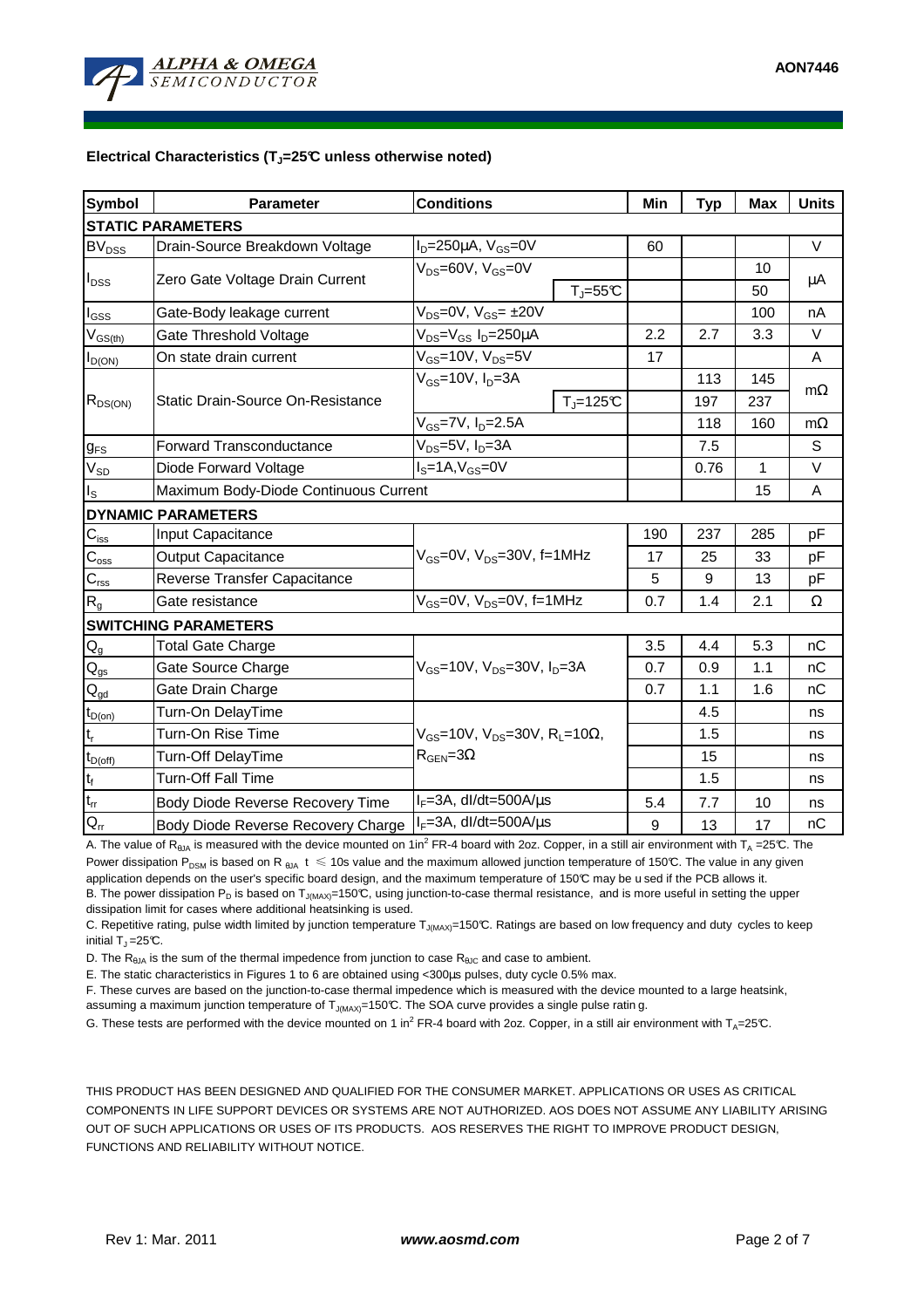

#### **Electrical Characteristics (TJ=25°C unless otherwise noted)**

| <b>Symbol</b>                          | <b>Parameter</b>                      | <b>Conditions</b>                                         | Min | <b>Typ</b> | <b>Max</b>   | <b>Units</b> |  |  |  |
|----------------------------------------|---------------------------------------|-----------------------------------------------------------|-----|------------|--------------|--------------|--|--|--|
| <b>STATIC PARAMETERS</b>               |                                       |                                                           |     |            |              |              |  |  |  |
| <b>BV</b> <sub>DSS</sub>               | Drain-Source Breakdown Voltage        | $I_D = 250 \mu A$ , $V_{GS} = 0V$                         | 60  |            |              | V            |  |  |  |
| $I_{\text{DSS}}$                       | Zero Gate Voltage Drain Current       | $V_{DS} = 60V$ , $V_{GS} = 0V$                            |     |            | 10           | μA           |  |  |  |
|                                        |                                       | $T_J = 55C$                                               |     |            | 50           |              |  |  |  |
| $I_{\underline{GSS}}$                  | Gate-Body leakage current             | $V_{DS} = 0V$ , $V_{GS} = \pm 20V$                        |     |            | 100          | nA           |  |  |  |
| $V_{GS(th)}$                           | Gate Threshold Voltage                | V <sub>DS</sub> =V <sub>GS</sub> I <sub>D</sub> =250µA    | 2.2 | 2.7        | 3.3          | V            |  |  |  |
| $I_{D(ON)}$                            | On state drain current                | $V_{GS}$ =10V, $V_{DS}$ =5V                               | 17  |            |              | A            |  |  |  |
| $R_{DS(ON)}$                           | Static Drain-Source On-Resistance     | $V_{GS}$ =10V, $I_D$ =3A                                  |     | 113        | 145          | $m\Omega$    |  |  |  |
|                                        |                                       | $T_{\rm J}$ =125°C                                        |     | 197        | 237          |              |  |  |  |
|                                        |                                       | V <sub>GS</sub> =7V, I <sub>D</sub> =2.5A                 |     | 118        | 160          | $m\Omega$    |  |  |  |
| $g_{FS}$                               | <b>Forward Transconductance</b>       | V <sub>DS</sub> =5V, I <sub>D</sub> =3A                   |     | 7.5        |              | S            |  |  |  |
| $V_{SD}$                               | Diode Forward Voltage                 | $IS=1A, VGS=0V$                                           |     | 0.76       | $\mathbf{1}$ | V            |  |  |  |
| $I_{\rm S}$                            | Maximum Body-Diode Continuous Current |                                                           |     |            | 15           | Α            |  |  |  |
|                                        | <b>DYNAMIC PARAMETERS</b>             |                                                           |     |            |              |              |  |  |  |
| $\mathbf{C}_{iss}$                     | Input Capacitance                     |                                                           | 190 | 237        | 285          | рF           |  |  |  |
| $C_{\rm oss}$                          | <b>Output Capacitance</b>             | $V_{GS}$ =0V, $V_{DS}$ =30V, f=1MHz                       | 17  | 25         | 33           | pF           |  |  |  |
| $\mathbf{C}_{\text{rss}}$              | Reverse Transfer Capacitance          |                                                           | 5   | 9          | 13           | pF           |  |  |  |
| $R_{g}$                                | Gate resistance                       | $V_{GS}$ =0V, $V_{DS}$ =0V, f=1MHz                        | 0.7 | 1.4        | 2.1          | $\Omega$     |  |  |  |
|                                        | <b>SWITCHING PARAMETERS</b>           |                                                           |     |            |              |              |  |  |  |
| $\mathsf{Q}_{\mathsf{g}}$              | <b>Total Gate Charge</b>              |                                                           | 3.5 | 4.4        | 5.3          | nC           |  |  |  |
| $\mathsf{Q}_{\mathsf{gs}}$             | Gate Source Charge                    | $V_{GS}$ =10V, $V_{DS}$ =30V, $I_{D}$ =3A                 | 0.7 | 0.9        | 1.1          | nC           |  |  |  |
| $\mathsf{Q}_{\underline{\mathsf{gd}}}$ | Gate Drain Charge                     |                                                           | 0.7 | 1.1        | 1.6          | nC           |  |  |  |
| $t_{D(0n)}$                            | Turn-On DelayTime                     |                                                           |     | 4.5        |              | ns           |  |  |  |
| $t_r$                                  | Turn-On Rise Time                     | $V_{GS}$ =10V, V <sub>DS</sub> =30V, R <sub>L</sub> =10Ω, |     | 1.5        |              | ns           |  |  |  |
| $t_{D(off)}$                           | Turn-Off DelayTime                    | $R_{\text{GEN}} = 3\Omega$                                |     | 15         |              | ns           |  |  |  |
| $\mathsf{t}_{\mathsf{f}}$              | Turn-Off Fall Time                    |                                                           |     | 1.5        |              | ns           |  |  |  |
| $\frac{t_{rr}}{Q_{rr}}$                | Body Diode Reverse Recovery Time      | $I_F = 3A$ , dl/dt=500A/ $\mu$ s                          | 5.4 | 7.7        | 10           | ns           |  |  |  |
|                                        | Body Diode Reverse Recovery Charge    | $I_F = 3A$ , dl/dt=500A/ $\mu$ s                          | 9   | 13         | 17           | nC           |  |  |  |

A. The value of R<sub>6JA</sub> is measured with the device mounted on 1in<sup>2</sup> FR-4 board with 2oz. Copper, in a still air environment with T<sub>A</sub> =25°C. The Power dissipation P<sub>DSM</sub> is based on R <sub>θJA</sub> t  $\leq$  10s value and the maximum allowed junction temperature of 150°C. The value in any given application depends on the user's specific board design, and the maximum temperature of 150°C may be u sed if the PCB allows it. B. The power dissipation P<sub>D</sub> is based on T<sub>J(MAX)</sub>=150°C, using junction-to-case thermal resistance, and is more useful in setting the upper dissipation limit for cases where additional heatsinking is used.

C. Repetitive rating, pulse width limited by junction temperature T<sub>J(MAX)</sub>=150°C. Ratings are based on low frequency and duty cycles to keep initial  $T_J = 25^{\circ}C$ .

D. The  $R_{\theta JA}$  is the sum of the thermal impedence from junction to case  $R_{\theta JC}$  and case to ambient.

E. The static characteristics in Figures 1 to 6 are obtained using <300µs pulses, duty cycle 0.5% max.

F. These curves are based on the junction-to-case thermal impedence which is measured with the device mounted to a large heatsink,

assuming a maximum junction temperature of  $T_{J(MAX)}=150^{\circ}C$ . The SOA curve provides a single pulse ratin g.

G. These tests are performed with the device mounted on 1 in<sup>2</sup> FR-4 board with 2oz. Copper, in a still air environment with T<sub>A</sub>=25°C.

THIS PRODUCT HAS BEEN DESIGNED AND QUALIFIED FOR THE CONSUMER MARKET. APPLICATIONS OR USES AS CRITICAL COMPONENTS IN LIFE SUPPORT DEVICES OR SYSTEMS ARE NOT AUTHORIZED. AOS DOES NOT ASSUME ANY LIABILITY ARISING OUT OF SUCH APPLICATIONS OR USES OF ITS PRODUCTS. AOS RESERVES THE RIGHT TO IMPROVE PRODUCT DESIGN, FUNCTIONS AND RELIABILITY WITHOUT NOTICE.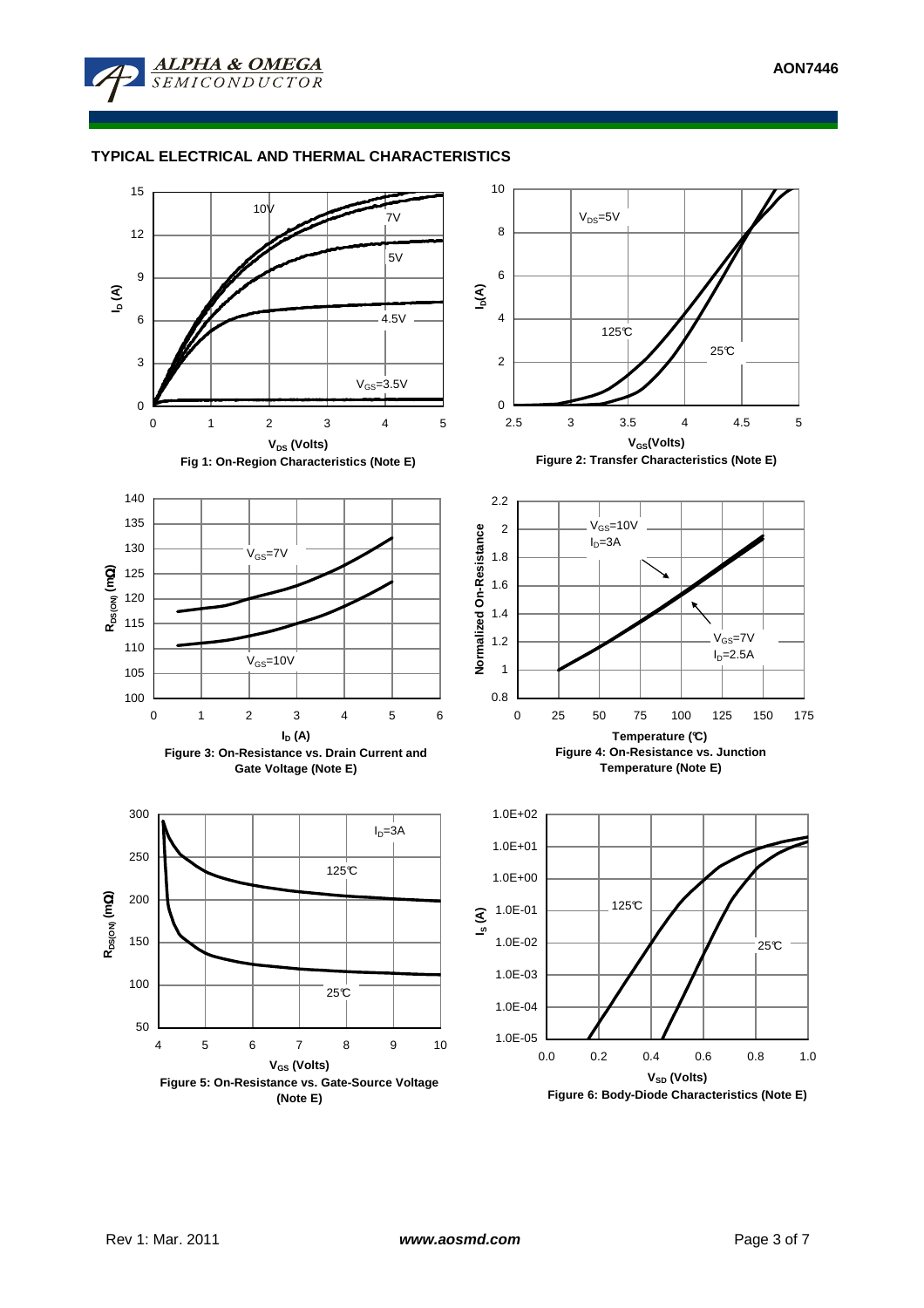

# **TYPICAL ELECTRICAL AND THERMAL CHARACTERISTICS**

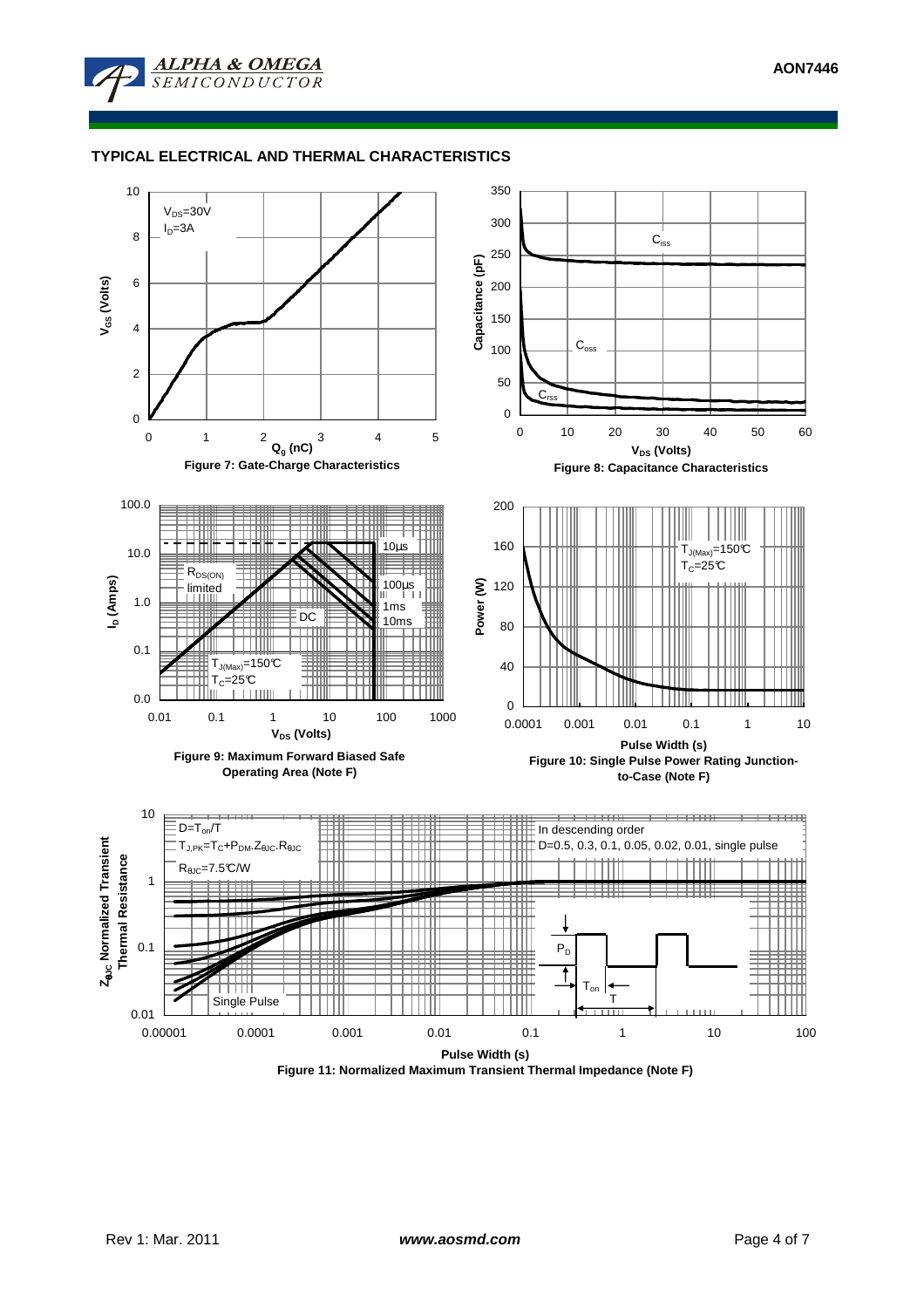

## **TYPICAL ELECTRICAL AND THERMAL CHARACTERISTICS**

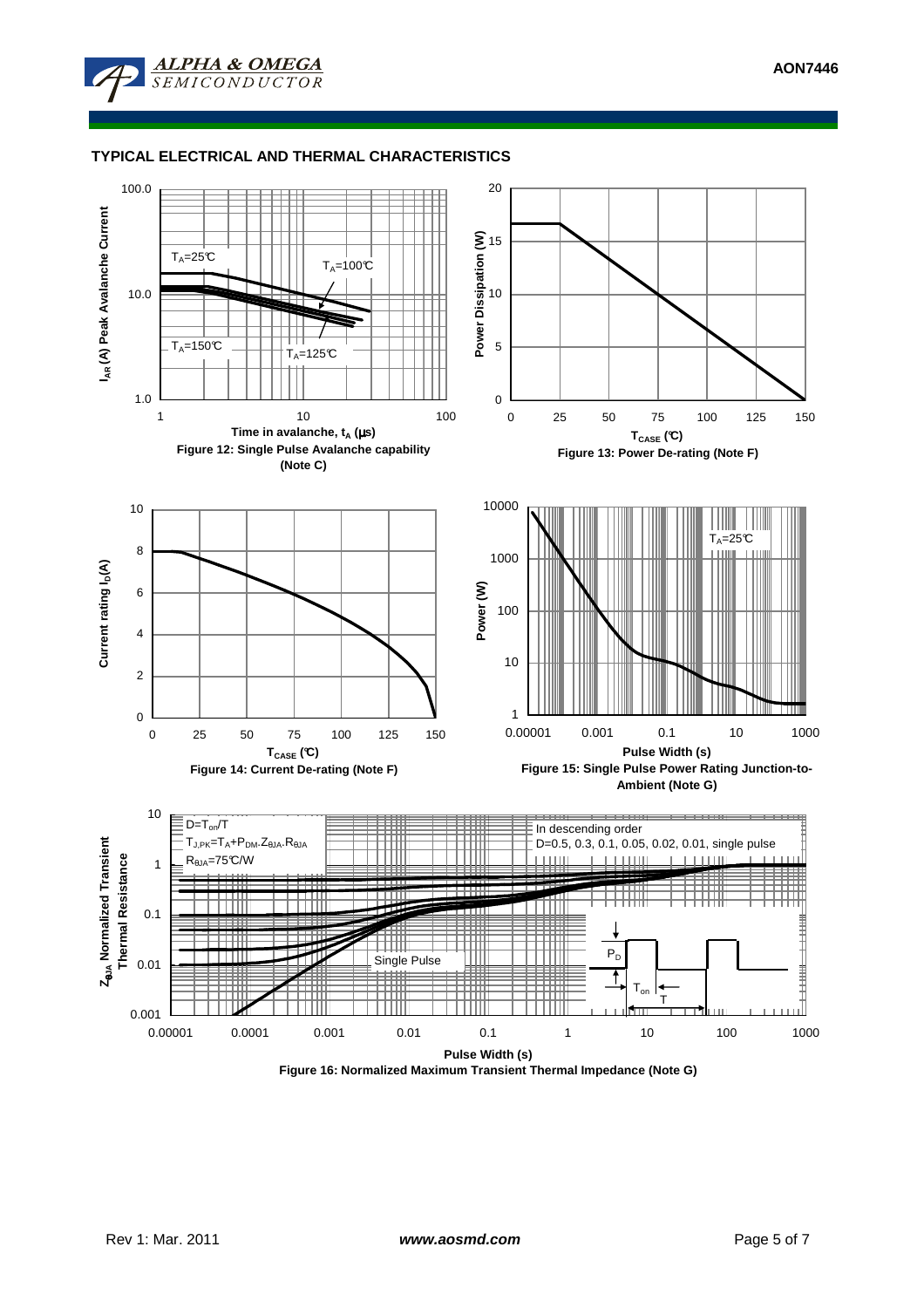



**Figure 16: Normalized Maximum Transient Thermal Impedance (Note G)**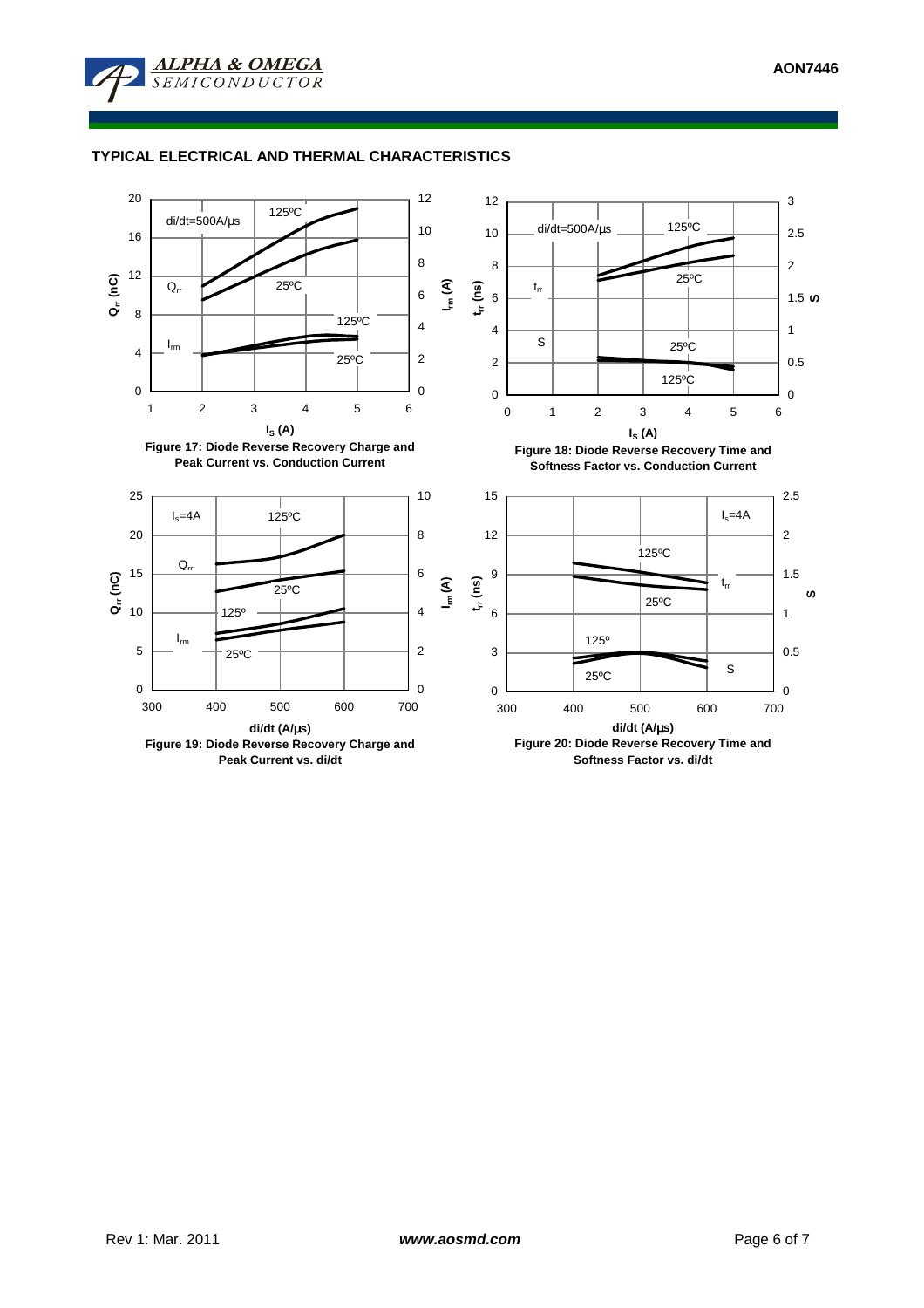

## **TYPICAL ELECTRICAL AND THERMAL CHARACTERISTICS**